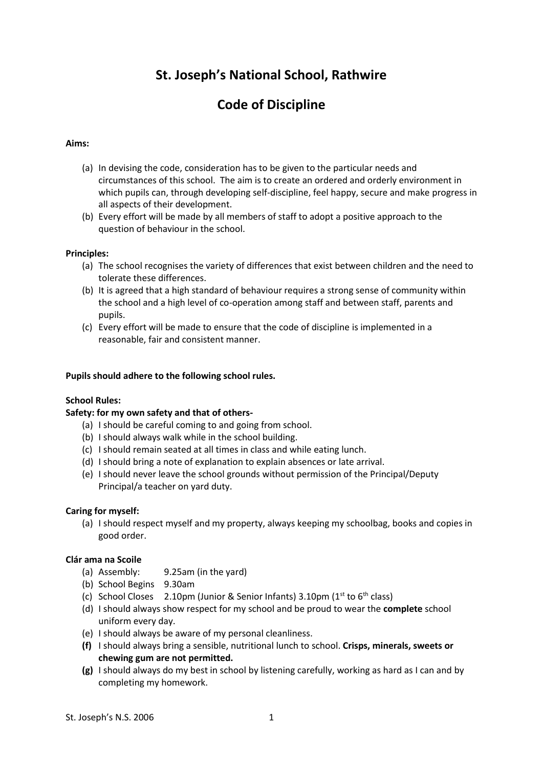# **St. Joseph's National School, Rathwire**

# **Code of Discipline**

# **Aims:**

- (a) In devising the code, consideration has to be given to the particular needs and circumstances of this school. The aim is to create an ordered and orderly environment in which pupils can, through developing self-discipline, feel happy, secure and make progress in all aspects of their development.
- (b) Every effort will be made by all members of staff to adopt a positive approach to the question of behaviour in the school.

#### **Principles:**

- (a) The school recognises the variety of differences that exist between children and the need to tolerate these differences.
- (b) It is agreed that a high standard of behaviour requires a strong sense of community within the school and a high level of co-operation among staff and between staff, parents and pupils.
- (c) Every effort will be made to ensure that the code of discipline is implemented in a reasonable, fair and consistent manner.

#### **Pupils should adhere to the following school rules.**

# **School Rules:**

#### **Safety: for my own safety and that of others-**

- (a) I should be careful coming to and going from school.
- (b) I should always walk while in the school building.
- (c) I should remain seated at all times in class and while eating lunch.
- (d) I should bring a note of explanation to explain absences or late arrival.
- (e) I should never leave the school grounds without permission of the Principal/Deputy Principal/a teacher on yard duty.

#### **Caring for myself:**

(a) I should respect myself and my property, always keeping my schoolbag, books and copies in good order.

# **Clár ama na Scoile**

- (a) Assembly: 9.25am (in the yard)
- (b) School Begins 9.30am
- (c) School Closes 2.10pm (Junior & Senior Infants)  $3.10$ pm ( $1<sup>st</sup>$  to  $6<sup>th</sup>$  class)
- (d) I should always show respect for my school and be proud to wear the **complete** school uniform every day.
- (e) I should always be aware of my personal cleanliness.
- **(f)** I should always bring a sensible, nutritional lunch to school. **Crisps, minerals, sweets or chewing gum are not permitted.**
- **(g)** I should always do my best in school by listening carefully, working as hard as I can and by completing my homework.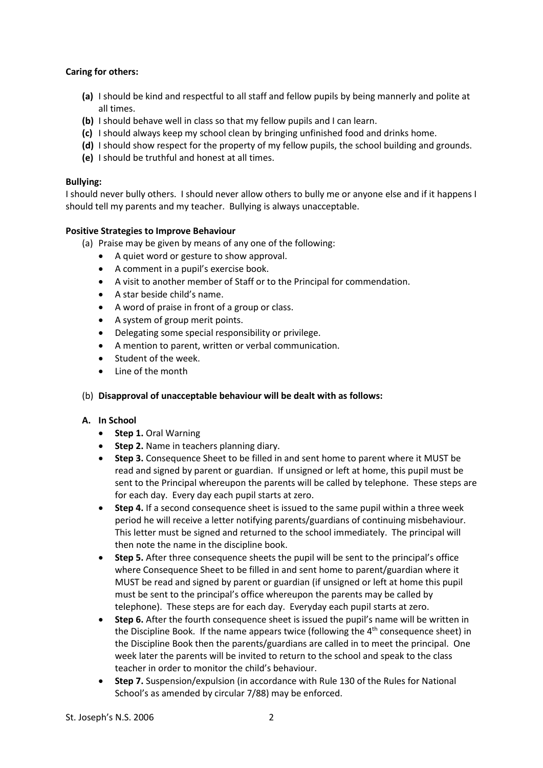# **Caring for others:**

- **(a)** I should be kind and respectful to all staff and fellow pupils by being mannerly and polite at all times.
- **(b)** I should behave well in class so that my fellow pupils and I can learn.
- **(c)** I should always keep my school clean by bringing unfinished food and drinks home.
- **(d)** I should show respect for the property of my fellow pupils, the school building and grounds.
- **(e)** I should be truthful and honest at all times.

# **Bullying:**

I should never bully others. I should never allow others to bully me or anyone else and if it happens I should tell my parents and my teacher. Bullying is always unacceptable.

# **Positive Strategies to Improve Behaviour**

- (a) Praise may be given by means of any one of the following:
	- A quiet word or gesture to show approval.
	- A comment in a pupil's exercise book.
	- A visit to another member of Staff or to the Principal for commendation.
	- A star beside child's name.
	- A word of praise in front of a group or class.
	- A system of group merit points.
	- Delegating some special responsibility or privilege.
	- A mention to parent, written or verbal communication.
	- Student of the week.
	- Line of the month

#### (b) **Disapproval of unacceptable behaviour will be dealt with as follows:**

#### **A. In School**

- **•** Step 1. Oral Warning
- **Step 2.** Name in teachers planning diary.
- **Step 3.** Consequence Sheet to be filled in and sent home to parent where it MUST be read and signed by parent or guardian. If unsigned or left at home, this pupil must be sent to the Principal whereupon the parents will be called by telephone. These steps are for each day. Every day each pupil starts at zero.
- **Step 4.** If a second consequence sheet is issued to the same pupil within a three week period he will receive a letter notifying parents/guardians of continuing misbehaviour. This letter must be signed and returned to the school immediately. The principal will then note the name in the discipline book.
- **Step 5.** After three consequence sheets the pupil will be sent to the principal's office where Consequence Sheet to be filled in and sent home to parent/guardian where it MUST be read and signed by parent or guardian (if unsigned or left at home this pupil must be sent to the principal's office whereupon the parents may be called by telephone). These steps are for each day. Everyday each pupil starts at zero.
- **Step 6.** After the fourth consequence sheet is issued the pupil's name will be written in the Discipline Book. If the name appears twice (following the  $4<sup>th</sup>$  consequence sheet) in the Discipline Book then the parents/guardians are called in to meet the principal. One week later the parents will be invited to return to the school and speak to the class teacher in order to monitor the child's behaviour.
- **Step 7.** Suspension/expulsion (in accordance with Rule 130 of the Rules for National School's as amended by circular 7/88) may be enforced.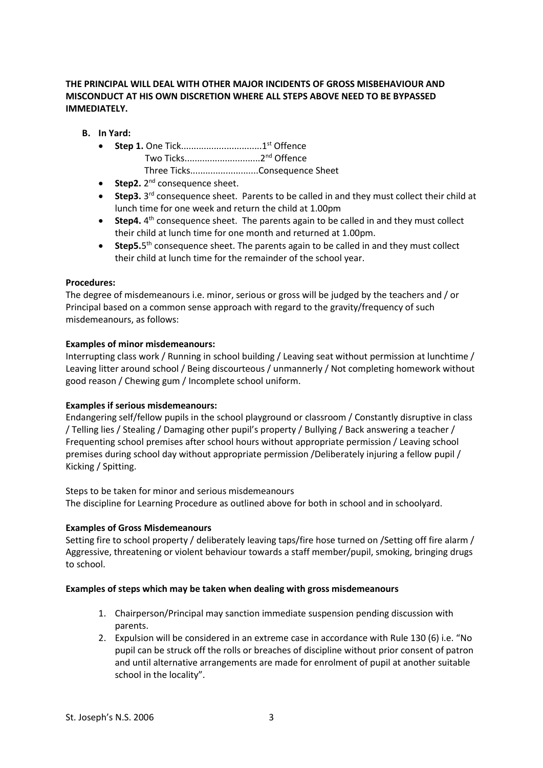# **THE PRINCIPAL WILL DEAL WITH OTHER MAJOR INCIDENTS OF GROSS MISBEHAVIOUR AND MISCONDUCT AT HIS OWN DISCRETION WHERE ALL STEPS ABOVE NEED TO BE BYPASSED IMMEDIATELY.**

- **B. In Yard:**
	- **Step 1.** One Tick................................1st Offence Two Ticks..............................2nd Offence Three Ticks...........................Consequence Sheet
	- **Step2.** 2<sup>nd</sup> consequence sheet.
	- **Step3.** 3<sup>rd</sup> consequence sheet. Parents to be called in and they must collect their child at lunch time for one week and return the child at 1.00pm
	- Step4. 4<sup>th</sup> consequence sheet. The parents again to be called in and they must collect their child at lunch time for one month and returned at 1.00pm.
	- **Step5.**5<sup>th</sup> consequence sheet. The parents again to be called in and they must collect their child at lunch time for the remainder of the school year.

# **Procedures:**

The degree of misdemeanours i.e. minor, serious or gross will be judged by the teachers and / or Principal based on a common sense approach with regard to the gravity/frequency of such misdemeanours, as follows:

# **Examples of minor misdemeanours:**

Interrupting class work / Running in school building / Leaving seat without permission at lunchtime / Leaving litter around school / Being discourteous / unmannerly / Not completing homework without good reason / Chewing gum / Incomplete school uniform.

#### **Examples if serious misdemeanours:**

Endangering self/fellow pupils in the school playground or classroom / Constantly disruptive in class / Telling lies / Stealing / Damaging other pupil's property / Bullying / Back answering a teacher / Frequenting school premises after school hours without appropriate permission / Leaving school premises during school day without appropriate permission /Deliberately injuring a fellow pupil / Kicking / Spitting.

Steps to be taken for minor and serious misdemeanours The discipline for Learning Procedure as outlined above for both in school and in schoolyard.

#### **Examples of Gross Misdemeanours**

Setting fire to school property / deliberately leaving taps/fire hose turned on /Setting off fire alarm / Aggressive, threatening or violent behaviour towards a staff member/pupil, smoking, bringing drugs to school.

#### **Examples of steps which may be taken when dealing with gross misdemeanours**

- 1. Chairperson/Principal may sanction immediate suspension pending discussion with parents.
- 2. Expulsion will be considered in an extreme case in accordance with Rule 130 (6) i.e. "No pupil can be struck off the rolls or breaches of discipline without prior consent of patron and until alternative arrangements are made for enrolment of pupil at another suitable school in the locality".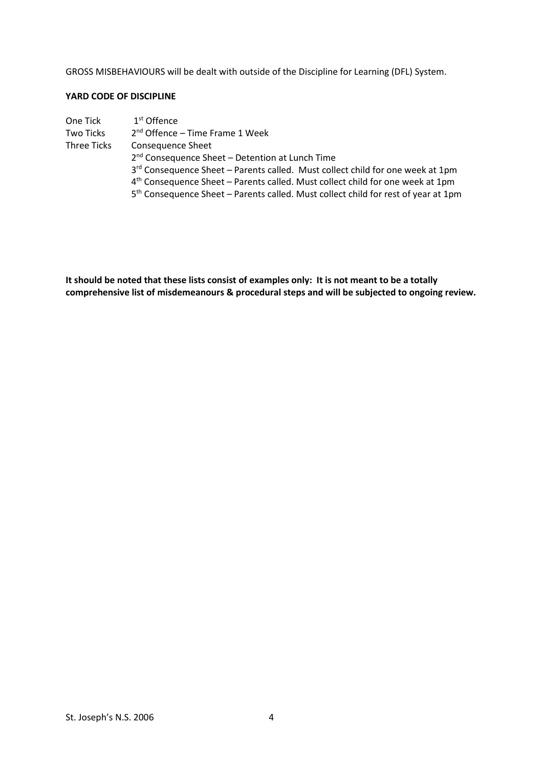GROSS MISBEHAVIOURS will be dealt with outside of the Discipline for Learning (DFL) System.

# **YARD CODE OF DISCIPLINE**

| One Tick    | $1st$ Offence                                                                                  |  |
|-------------|------------------------------------------------------------------------------------------------|--|
| Two Ticks   | $2nd$ Offence – Time Frame 1 Week                                                              |  |
| Three Ticks | <b>Consequence Sheet</b>                                                                       |  |
|             | 2 <sup>nd</sup> Consequence Sheet - Detention at Lunch Time                                    |  |
|             | 3rd Consequence Sheet - Parents called. Must collect child for one week at 1pm                 |  |
|             | $4th$ Consequence Sheet – Parents called. Must collect child for one week at 1pm               |  |
|             | 5 <sup>th</sup> Consequence Sheet – Parents called. Must collect child for rest of year at 1pm |  |

**It should be noted that these lists consist of examples only: It is not meant to be a totally comprehensive list of misdemeanours & procedural steps and will be subjected to ongoing review.**